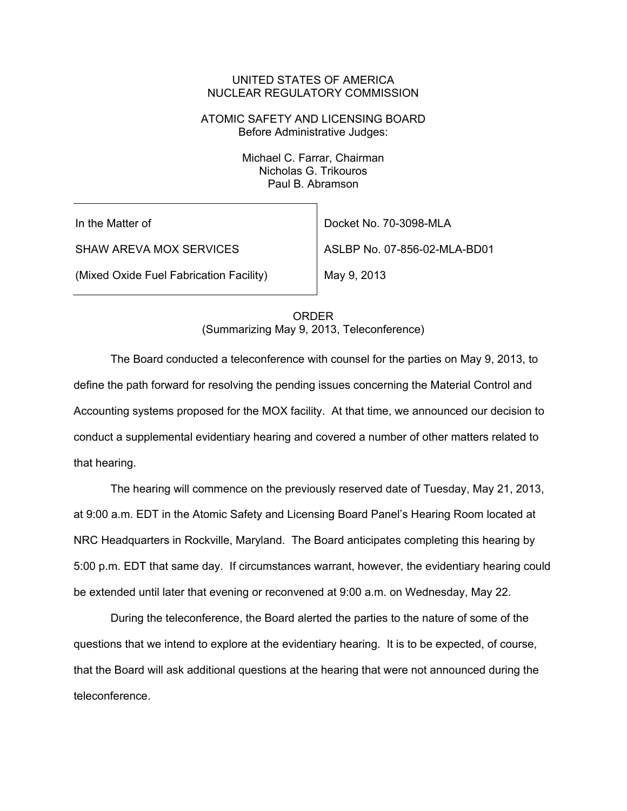#### UNITED STATES OF AMERICA NUCLEAR REGULATORY COMMISSION

## ATOMIC SAFETY AND LICENSING BOARD Before Administrative Judges:

Michael C. Farrar, Chairman Nicholas G. Trikouros Paul B. Abramson

In the Matter of

SHAW AREVA MOX SERVICES

(Mixed Oxide Fuel Fabrication Facility)

Docket No. 70-3098-MLA ASLBP No. 07-856-02-MLA-BD01

May 9, 2013

ORDER (Summarizing May 9, 2013, Teleconference)

 The Board conducted a teleconference with counsel for the parties on May 9, 2013, to define the path forward for resolving the pending issues concerning the Material Control and Accounting systems proposed for the MOX facility. At that time, we announced our decision to conduct a supplemental evidentiary hearing and covered a number of other matters related to that hearing.

 The hearing will commence on the previously reserved date of Tuesday, May 21, 2013, at 9:00 a.m. EDT in the Atomic Safety and Licensing Board Panel's Hearing Room located at NRC Headquarters in Rockville, Maryland. The Board anticipates completing this hearing by 5:00 p.m. EDT that same day. If circumstances warrant, however, the evidentiary hearing could be extended until later that evening or reconvened at 9:00 a.m. on Wednesday, May 22.

 During the teleconference, the Board alerted the parties to the nature of some of the questions that we intend to explore at the evidentiary hearing. It is to be expected, of course, that the Board will ask additional questions at the hearing that were not announced during the teleconference.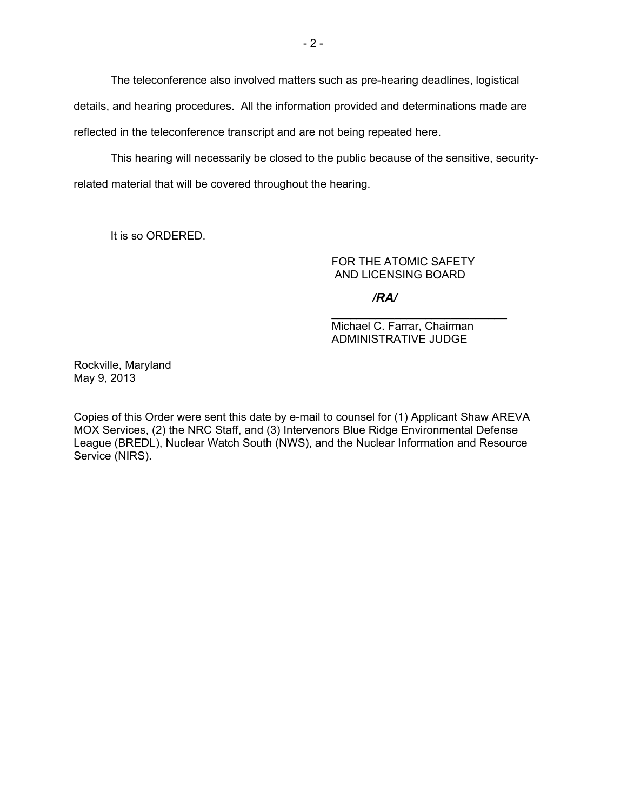The teleconference also involved matters such as pre-hearing deadlines, logistical details, and hearing procedures. All the information provided and determinations made are reflected in the teleconference transcript and are not being repeated here.

 This hearing will necessarily be closed to the public because of the sensitive, securityrelated material that will be covered throughout the hearing.

It is so ORDERED.

FOR THE ATOMIC SAFETY AND LICENSING BOARD

*/RA/*

Michael C. Farrar, Chairman ADMINISTRATIVE JUDGE

\_\_\_\_\_\_\_\_\_\_\_\_\_\_\_\_\_\_\_\_\_\_\_\_\_\_\_\_

Rockville, Maryland May 9, 2013

Copies of this Order were sent this date by e-mail to counsel for (1) Applicant Shaw AREVA MOX Services, (2) the NRC Staff, and (3) Intervenors Blue Ridge Environmental Defense League (BREDL), Nuclear Watch South (NWS), and the Nuclear Information and Resource Service (NIRS).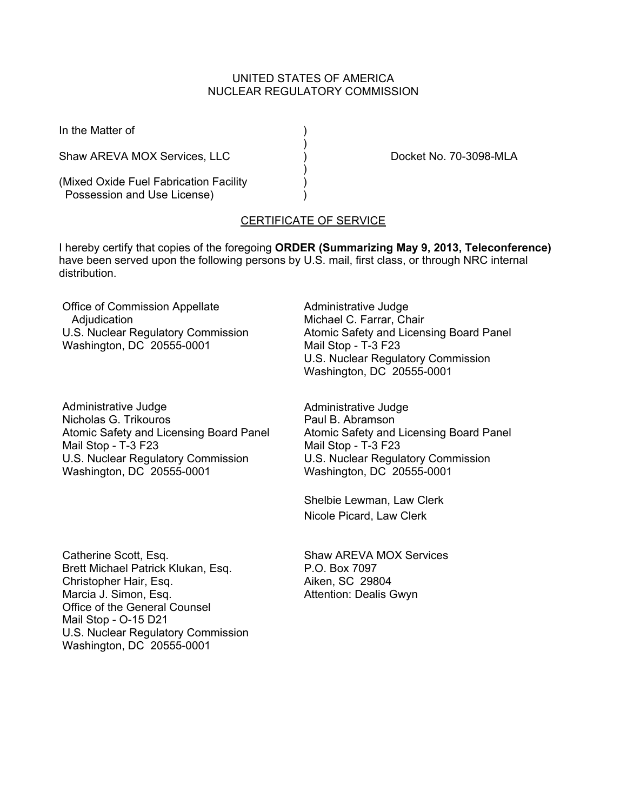### UNITED STATES OF AMERICA NUCLEAR REGULATORY COMMISSION

)

)

In the Matter of (1)

Shaw AREVA MOX Services, LLC (and ) and the Docket No. 70-3098-MLA

(Mixed Oxide Fuel Fabrication Facility ) Possession and Use License)

# CERTIFICATE OF SERVICE

I hereby certify that copies of the foregoing **ORDER (Summarizing May 9, 2013, Teleconference)**  have been served upon the following persons by U.S. mail, first class, or through NRC internal distribution.

Office of Commission Appellate Adjudication U.S. Nuclear Regulatory Commission Washington, DC 20555-0001

Administrative Judge Nicholas G. Trikouros Atomic Safety and Licensing Board Panel Mail Stop - T-3 F23 U.S. Nuclear Regulatory Commission Washington, DC 20555-0001

Administrative Judge Michael C. Farrar, Chair Atomic Safety and Licensing Board Panel Mail Stop - T-3 F23 U.S. Nuclear Regulatory Commission Washington, DC 20555-0001

Administrative Judge Paul B. Abramson Atomic Safety and Licensing Board Panel Mail Stop - T-3 F23 U.S. Nuclear Regulatory Commission Washington, DC 20555-0001

Shelbie Lewman, Law Clerk Nicole Picard, Law Clerk

Catherine Scott, Esq. Brett Michael Patrick Klukan, Esq. Christopher Hair, Esq. Marcia J. Simon, Esq. Office of the General Counsel Mail Stop - O-15 D21 U.S. Nuclear Regulatory Commission Washington, DC 20555-0001

Shaw AREVA MOX Services P.O. Box 7097 Aiken, SC 29804 Attention: Dealis Gwyn